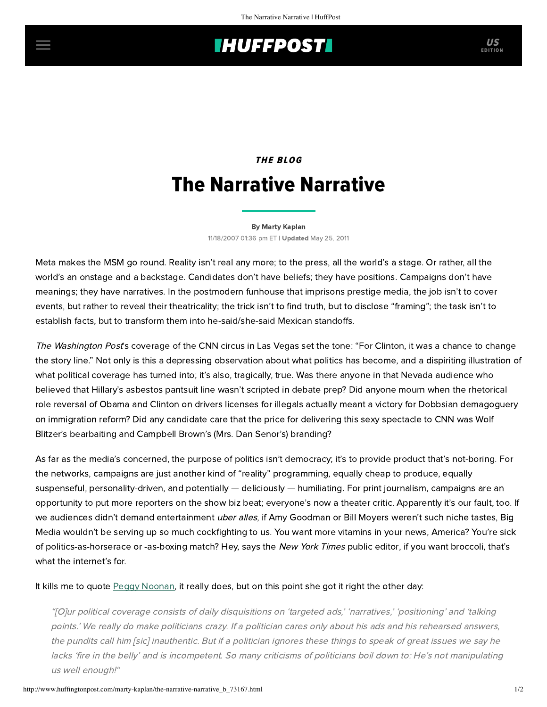## **INUFFPOST**

## THE BLOG The Narrative Narrative

[By Marty Kaplan](http://www.huffingtonpost.com/author/marty-kaplan) 11/18/2007 01:36 pm ET | Updated May 25, 2011

Meta makes the MSM go round. Reality isn't real any more; to the press, all the world's a stage. Or rather, all the world's an onstage and a backstage. Candidates don't have beliefs; they have positions. Campaigns don't have meanings; they have narratives. In the postmodern funhouse that imprisons prestige media, the job isn't to cover events, but rather to reveal their theatricality; the trick isn't to find truth, but to disclose "framing"; the task isn't to establish facts, but to transform them into he-said/she-said Mexican standoffs.

The Washington Post's [coverage](http://www.washingtonpost.com/wp-dyn/content/article/2007/11/15/AR2007111501240.html) of the CNN circus in Las Vegas set the tone: "For Clinton, it was a chance to change the story line." Not only is this a depressing observation about what politics has become, and a dispiriting illustration of what political coverage has turned into; it's also, tragically, true. Was there anyone in that Nevada audience who believed that Hillary's asbestos pantsuit line wasn't scripted in debate prep? Did anyone mourn when the rhetorical role reversal of Obama and Clinton on drivers licenses for illegals actually meant a victory for Dobbsian demagoguery on immigration reform? Did any candidate care that the price for delivering this sexy spectacle to CNN was Wolf Blitzer's bearbaiting and Campbell Brown's (Mrs. Dan Senor's) branding?

As far as the media's concerned, the purpose of politics isn't democracy; it's to provide product that's not-boring. For the networks, campaigns are just another kind of "reality" programming, equally cheap to produce, equally suspenseful, personality-driven, and potentially — deliciously — humiliating. For print journalism, campaigns are an opportunity to put more reporters on the show biz beat; everyone's now a theater critic. Apparently it's our fault, too. If we audiences didn't demand entertainment uber alles, if Amy Goodman or Bill Moyers weren't such niche tastes, Big Media wouldn't be serving up so much cockfighting to us. You want more vitamins in your news, America? You're sick of politics-as-horserace or -as-boxing match? Hey, says the *New York Times* [public editor,](http://www.nytimes.com/2007/11/18/opinion/18pubed.html?ref=opinion) if you want broccoli, that's what the internet's for.

It kills me to quote [Peggy Noonan](http://www.opinionjournal.com/columnists/pnoonan/?id=110010863), it really does, but on this point she got it right the other day:

"[O]ur political coverage consists of daily disquisitions on 'targeted ads,' 'narratives,' 'positioning' and 'talking points.' We really do make politicians crazy. If a politician cares only about his ads and his rehearsed answers, the pundits call him [sic] inauthentic. But if a politician ignores these things to speak of great issues we say he lacks 'fire in the belly' and is incompetent. So many criticisms of politicians boil down to: He's not manipulating us well enough!"